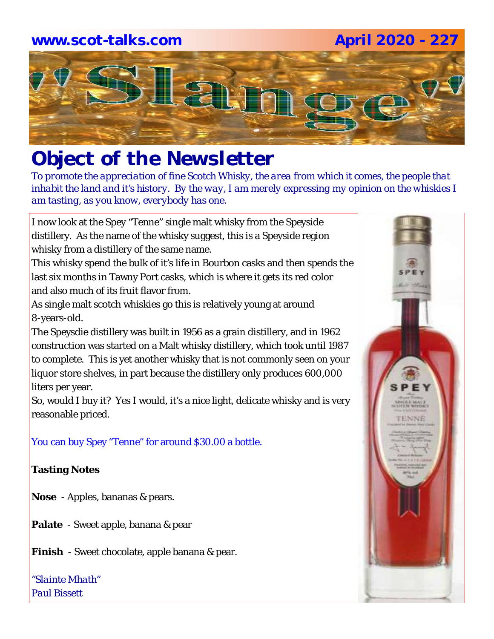# **www.scot-talks.com April 2020 - 227**Lain

### *Object of the Newsletter*

*To promote the appreciation of fine Scotch Whisky, the area from which it comes, the people that inhabit the land and it's history. By the way, I am merely expressing my opinion on the whiskies I am tasting, as you know, everybody has one.* 

I now look at the Spey "Tenne" single malt whisky from the Speyside distillery. As the name of the whisky suggest, this is a Speyside region whisky from a distillery of the same name.

This whisky spend the bulk of it's life in Bourbon casks and then spends the last six months in Tawny Port casks, which is where it gets its red color and also much of its fruit flavor from.

As single malt scotch whiskies go this is relatively young at around 8-years-old.

The Speysdie distillery was built in 1956 as a grain distillery, and in 1962 construction was started on a Malt whisky distillery, which took until 1987 to complete. This is yet another whisky that is not commonly seen on your liquor store shelves, in part because the distillery only produces 600,000 liters per year.

So, would I buy it? Yes I would, it's a nice light, delicate whisky and is very reasonable priced.

You can buy Spey "Tenne" for around \$30.00 a bottle.

#### **Tasting Notes**

**Nose** - Apples, bananas & pears.

**Palate** - Sweet apple, banana & pear

**Finish** - Sweet chocolate, apple banana & pear.

*"Slainte Mhath" Paul Bissett*

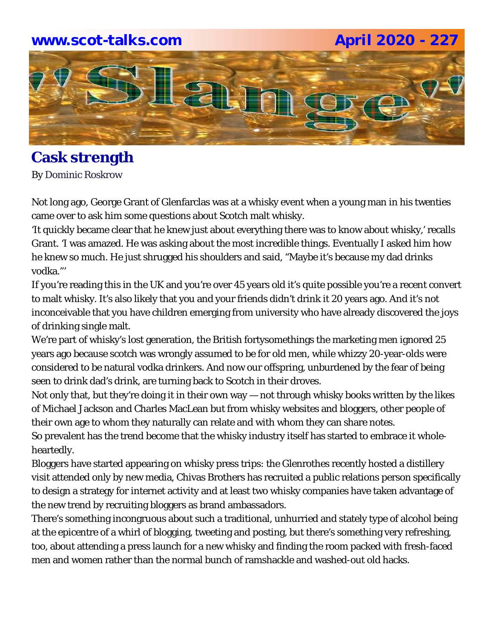### **www.scot-talks.com April 2020 - 227**



#### **Cask strength** By Dominic Roskrow

Not long ago, George Grant of Glenfarclas was at a whisky event when a young man in his twenties came over to ask him some questions about Scotch malt whisky.

'It quickly became clear that he knew just about everything there was to know about whisky,' recalls Grant. 'I was amazed. He was asking about the most incredible things. Eventually I asked him how he knew so much. He just shrugged his shoulders and said, "Maybe it's because my dad drinks vodka."'

If you're reading this in the UK and you're over 45 years old it's quite possible you're a recent convert to malt whisky. It's also likely that you and your friends didn't drink it 20 years ago. And it's not inconceivable that you have children emerging from university who have already discovered the joys of drinking single malt.

We're part of whisky's lost generation, the British fortysomethings the marketing men ignored 25 years ago because scotch was wrongly assumed to be for old men, while whizzy 20-year-olds were considered to be natural vodka drinkers. And now our offspring, unburdened by the fear of being seen to drink dad's drink, are turning back to Scotch in their droves.

Not only that, but they're doing it in their own way — not through whisky books written by the likes of Michael Jackson and Charles MacLean but from whisky websites and bloggers, other people of their own age to whom they naturally can relate and with whom they can share notes.

So prevalent has the trend become that the whisky industry itself has started to embrace it wholeheartedly.

Bloggers have started appearing on whisky press trips: the Glenrothes recently hosted a distillery visit attended only by new media, Chivas Brothers has recruited a public relations person specifically to design a strategy for internet activity and at least two whisky companies have taken advantage of the new trend by recruiting bloggers as brand ambassadors.

There's something incongruous about such a traditional, unhurried and stately type of alcohol being at the epicentre of a whirl of blogging, tweeting and posting, but there's something very refreshing, too, about attending a press launch for a new whisky and finding the room packed with fresh-faced men and women rather than the normal bunch of ramshackle and washed-out old hacks.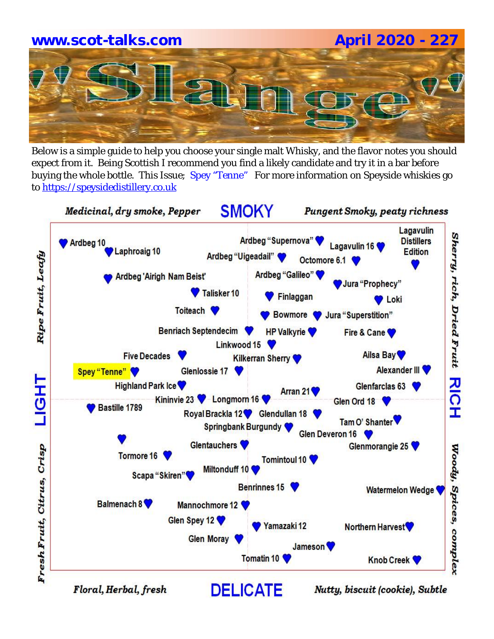# **www.scot-talks.com April 2020 - 227**

Below is a simple guide to help you choose your single malt Whisky, and the flavor notes you should expect from it. Being Scottish I recommend you find a likely candidate and try it in a bar before buying the whole bottle. This Issue; Spey "Tenne" For more information on Speyside whiskies go to https://speysidedistillery.co.uk

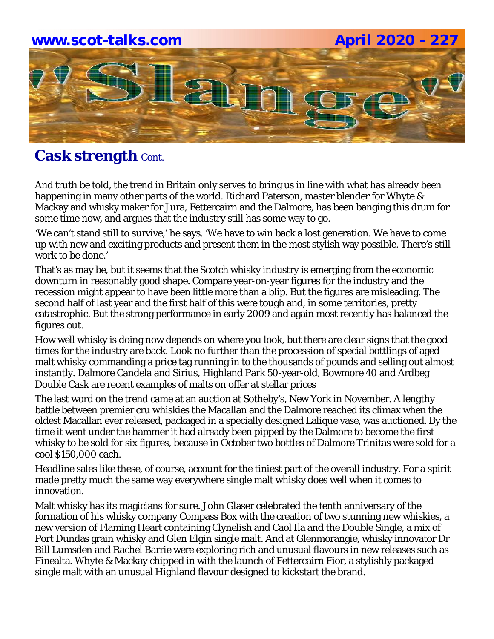# **www.scot-talks.com April 2020 - 227** lay

### **Cask strength** Cont.

And truth be told, the trend in Britain only serves to bring us in line with what has already been happening in many other parts of the world. Richard Paterson, master blender for Whyte & Mackay and whisky maker for Jura, Fettercairn and the Dalmore, has been banging this drum for some time now, and argues that the industry still has some way to go.

'We can't stand still to survive,' he says. 'We have to win back a lost generation. We have to come up with new and exciting products and present them in the most stylish way possible. There's still work to be done.'

That's as may be, but it seems that the Scotch whisky industry is emerging from the economic downturn in reasonably good shape. Compare year-on-year figures for the industry and the recession might appear to have been little more than a blip. But the figures are misleading. The second half of last year and the first half of this were tough and, in some territories, pretty catastrophic. But the strong performance in early 2009 and again most recently has balanced the figures out.

How well whisky is doing now depends on where you look, but there are clear signs that the good times for the industry are back. Look no further than the procession of special bottlings of aged malt whisky commanding a price tag running in to the thousands of pounds and selling out almost instantly. Dalmore Candela and Sirius, Highland Park 50-year-old, Bowmore 40 and Ardbeg Double Cask are recent examples of malts on offer at stellar prices

The last word on the trend came at an auction at Sotheby's, New York in November. A lengthy battle between premier cru whiskies the Macallan and the Dalmore reached its climax when the oldest Macallan ever released, packaged in a specially designed Lalique vase, was auctioned. By the time it went under the hammer it had already been pipped by the Dalmore to become the first whisky to be sold for six figures, because in October two bottles of Dalmore Trinitas were sold for a cool \$150,000 each.

Headline sales like these, of course, account for the tiniest part of the overall industry. For a spirit made pretty much the same way everywhere single malt whisky does well when it comes to innovation.

Malt whisky has its magicians for sure. John Glaser celebrated the tenth anniversary of the formation of his whisky company Compass Box with the creation of two stunning new whiskies, a new version of Flaming Heart containing Clynelish and Caol Ila and the Double Single, a mix of Port Dundas grain whisky and Glen Elgin single malt. And at Glenmorangie, whisky innovator Dr Bill Lumsden and Rachel Barrie were exploring rich and unusual flavours in new releases such as Finealta. Whyte & Mackay chipped in with the launch of Fettercairn Fior, a stylishly packaged single malt with an unusual Highland flavour designed to kickstart the brand.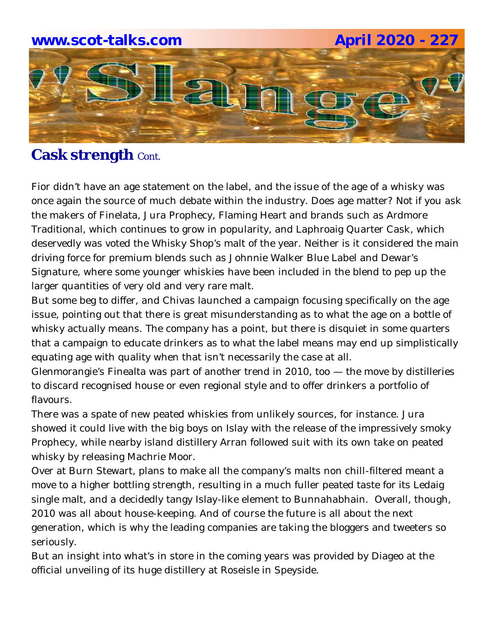

### **Cask strength** Cont.

Fior didn't have an age statement on the label, and the issue of the age of a whisky was once again the source of much debate within the industry. Does age matter? Not if you ask the makers of Finelata, Jura Prophecy, Flaming Heart and brands such as Ardmore Traditional, which continues to grow in popularity, and Laphroaig Quarter Cask, which deservedly was voted the Whisky Shop's malt of the year. Neither is it considered the main driving force for premium blends such as Johnnie Walker Blue Label and Dewar's Signature, where some younger whiskies have been included in the blend to pep up the larger quantities of very old and very rare malt.

But some beg to differ, and Chivas launched a campaign focusing specifically on the age issue, pointing out that there is great misunderstanding as to what the age on a bottle of whisky actually means. The company has a point, but there is disquiet in some quarters that a campaign to educate drinkers as to what the label means may end up simplistically equating age with quality when that isn't necessarily the case at all.

Glenmorangie's Finealta was part of another trend in 2010, too — the move by distilleries to discard recognised house or even regional style and to offer drinkers a portfolio of flavours.

There was a spate of new peated whiskies from unlikely sources, for instance. Jura showed it could live with the big boys on Islay with the release of the impressively smoky Prophecy, while nearby island distillery Arran followed suit with its own take on peated whisky by releasing Machrie Moor.

Over at Burn Stewart, plans to make all the company's malts non chill-filtered meant a move to a higher bottling strength, resulting in a much fuller peated taste for its Ledaig single malt, and a decidedly tangy Islay-like element to Bunnahabhain. Overall, though, 2010 was all about house-keeping. And of course the future is all about the next generation, which is why the leading companies are taking the bloggers and tweeters so seriously.

But an insight into what's in store in the coming years was provided by Diageo at the official unveiling of its huge distillery at Roseisle in Speyside.